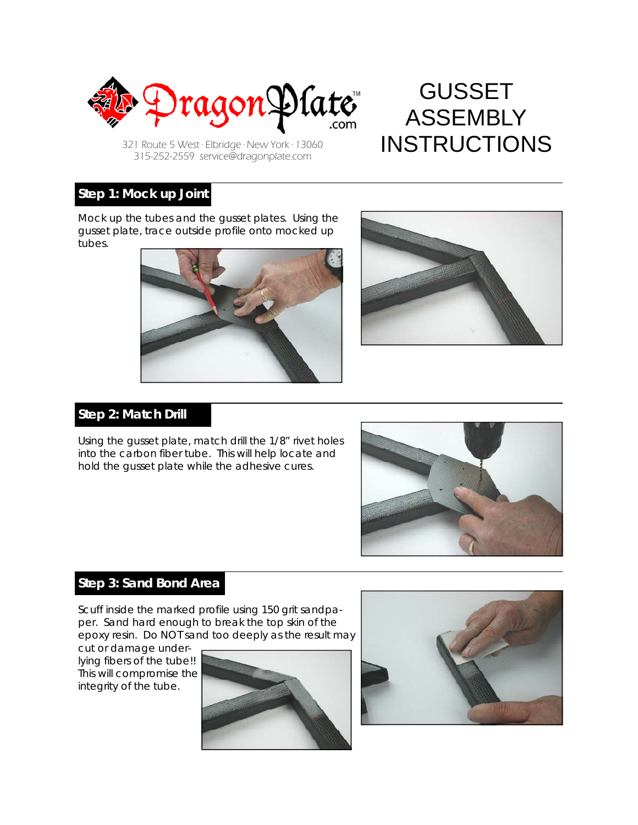

GUSSET ASSEMBLY 321 Route 5 West · Elbridge · New York 13060 **INSTRUCTIONS** 

315-252-2559 service@dragonplate.com

#### **Step 1: Mock up Joint**

Mock up the tubes and the gusset plates. Using the gusset plate, trace outside profile onto mocked up tubes.





## **Step 2: Match Drill**

Using the gusset plate, match drill the 1/8" rivet holes into the carbon fiber tube. This will help locate and hold the gusset plate while the adhesive cures.



# **Step 3: Sand Bond Area**

Scuff inside the marked profile using 150 grit sandpaper. Sand hard enough to break the top skin of the epoxy resin. Do NOT sand too deeply as the result may

cut or damage underlying fibers of the tube!! This will compromise the integrity of the tube.